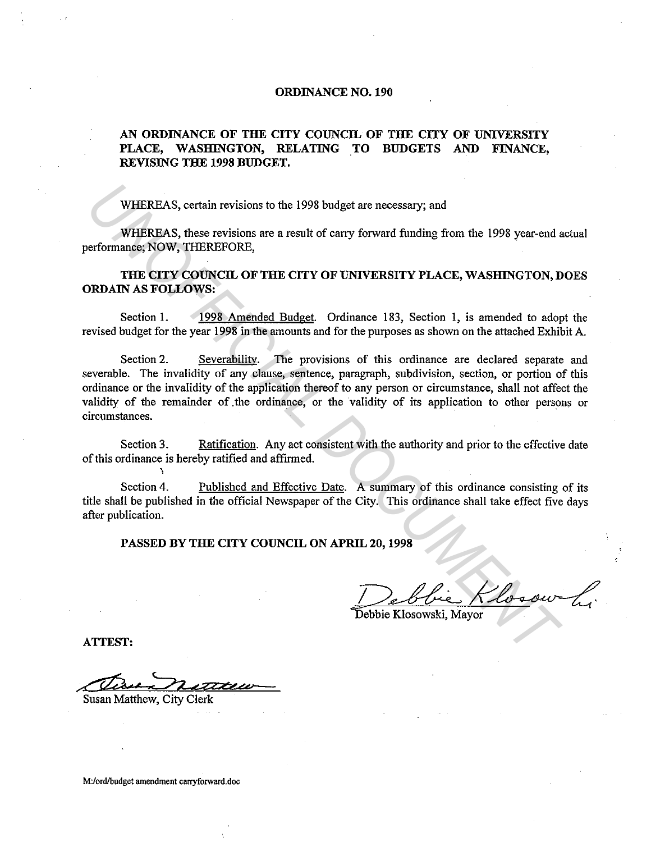## **ORDINANCE NO. 190**

## **AN ORDINANCE OF THE CITY COUNCIL OF THE CITY OF UNIVERSITY PLACE, WASHINGTON, RELATING TO BUDGETS AND FINANCE, REVISING THE 1998 BUDGET.**

WHEREAS, certain revisions to the 1998 budget are necessary; and

WHEREAS, these revisions are a result of carry forward funding from the 1998 year-end actual performance; NOW, THEREFORE,

**THE CITY COUNCIL OF THE CITY OF UNIVERSITY PLACE, WASHINGTON, DOES ORDAIN AS FOLLOWS:** 

Section I. 1998 Amended Budget. Ordinance 183, Section I, is amended to adopt the revised budget for the year 1998 in the amounts and for the purposes as shown on the attached Exhibit A.

Section 2. Severability. The provisions of this ordinance are declared separate and severable. The invalidity of any clause, sentence, paragraph, subdivision, section, or portion of this ordinance or the invalidity of the application thereof to any person or circumstance, shall not affect the validity of the remainder of .the ordinance, or the validity of its application to other persons or circumstances. **WHEREAS, certain revisions to the 1998 budget are necessary; and<br>
WHEREAS, these revisions are a result of carry forward funding from the 1998 year-end<br>
vertical performance; NOW, THEREFORE,<br>
THE CITY COUNCIL OF THE CITY** 

Section 3. Ratification. Any act consistent with the authority and prior to the effective date of this ordinance is hereby ratified and affirmed.

Section 4. Published and Effective Date. A summary of this ordinance consisting of its title shall be published in the official Newspaper of the City. This ordinance shall take effect five days after publication.

**PASSED BY THE CITY COUNCIL ON APRIL 20, 1998** 

Debie Klosow Li

Debbie Klosowski, Mayor

**ATTEST:** 

Caux netteur

**M:/ord/budget amendment carryforward.doc**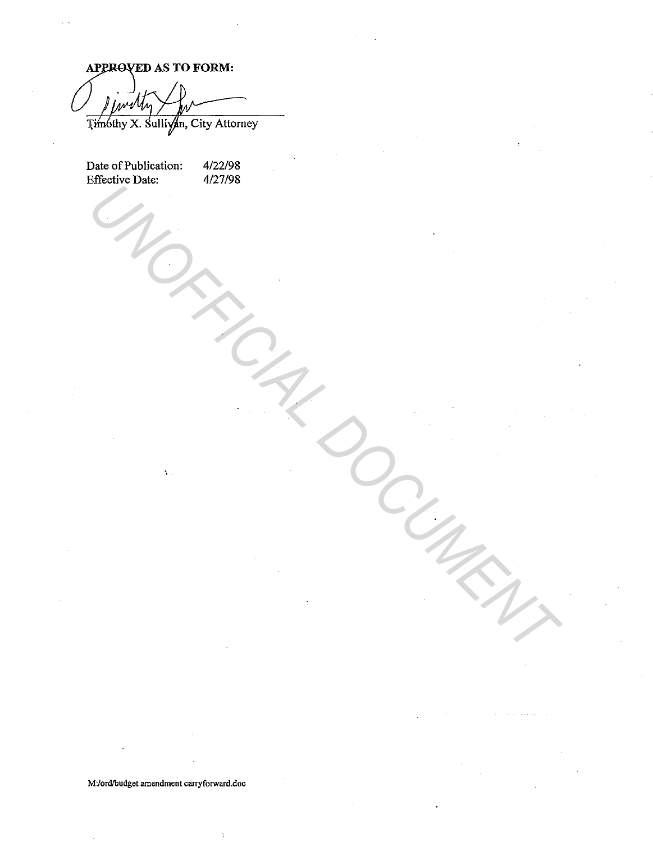APPROVED AS TO FORM: Timothy X. Sulliyan, City Attorney

Date of Publication: Effective Date: 4/22/98 4/27/98 UNOFFICIAL DOCUMENT

**M:/ord/budget amendment carryforward.doc** 

 $\hat{\mathbf{r}}$